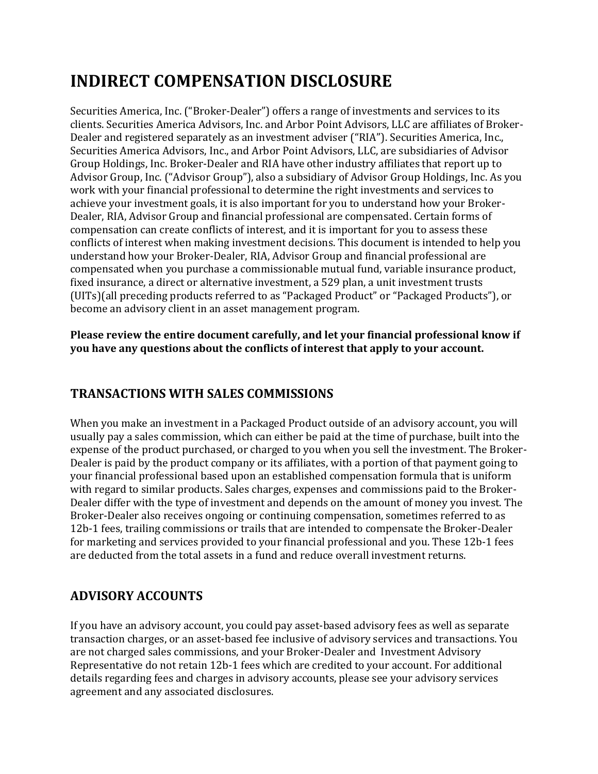# **INDIRECT COMPENSATION DISCLOSURE**

Securities America, Inc. ("Broker-Dealer") offers a range of investments and services to its clients. Securities America Advisors, Inc. and Arbor Point Advisors, LLC are affiliates of Broker-Dealer and registered separately as an investment adviser ("RIA"). Securities America, Inc., Securities America Advisors, Inc., and Arbor Point Advisors, LLC, are subsidiaries of Advisor Group Holdings, Inc. Broker-Dealer and RIA have other industry affiliates that report up to Advisor Group, Inc. ("Advisor Group"), also a subsidiary of Advisor Group Holdings, Inc. As you work with your financial professional to determine the right investments and services to achieve your investment goals, it is also important for you to understand how your Broker-Dealer, RIA, Advisor Group and financial professional are compensated. Certain forms of compensation can create conflicts of interest, and it is important for you to assess these conflicts of interest when making investment decisions. This document is intended to help you understand how your Broker-Dealer, RIA, Advisor Group and financial professional are compensated when you purchase a commissionable mutual fund, variable insurance product, fixed insurance, a direct or alternative investment, a 529 plan, a unit investment trusts (UITs)(all preceding products referred to as "Packaged Product" or "Packaged Products"), or become an advisory client in an asset management program.

**Please review the entire document carefully, and let your financial professional know if you have any questions about the conflicts of interest that apply to your account.** 

# **TRANSACTIONS WITH SALES COMMISSIONS**

When you make an investment in a Packaged Product outside of an advisory account, you will usually pay a sales commission, which can either be paid at the time of purchase, built into the expense of the product purchased, or charged to you when you sell the investment. The Broker-Dealer is paid by the product company or its affiliates, with a portion of that payment going to your financial professional based upon an established compensation formula that is uniform with regard to similar products. Sales charges, expenses and commissions paid to the Broker-Dealer differ with the type of investment and depends on the amount of money you invest. The Broker-Dealer also receives ongoing or continuing compensation, sometimes referred to as 12b-1 fees, trailing commissions or trails that are intended to compensate the Broker-Dealer for marketing and services provided to your financial professional and you. These 12b-1 fees are deducted from the total assets in a fund and reduce overall investment returns.

# **ADVISORY ACCOUNTS**

If you have an advisory account, you could pay asset-based advisory fees as well as separate transaction charges, or an asset-based fee inclusive of advisory services and transactions. You are not charged sales commissions, and your Broker-Dealer and Investment Advisory Representative do not retain 12b-1 fees which are credited to your account. For additional details regarding fees and charges in advisory accounts, please see your advisory services agreement and any associated disclosures.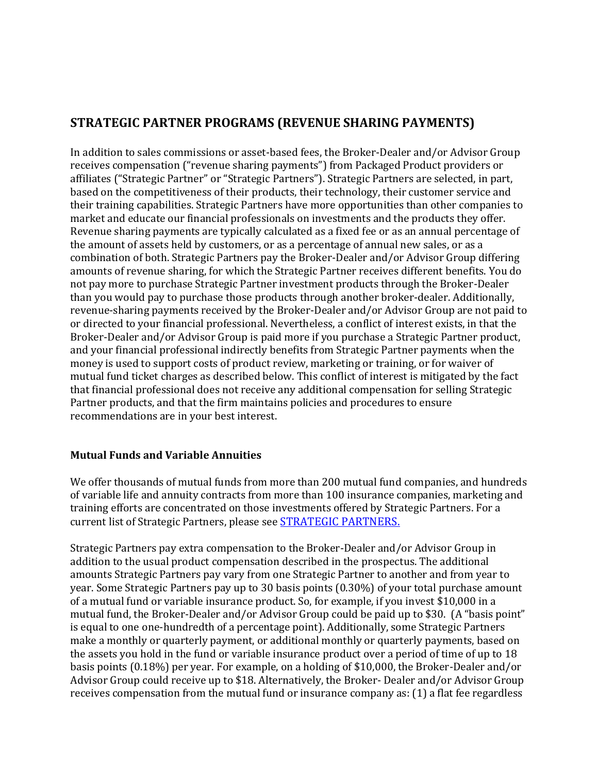# **STRATEGIC PARTNER PROGRAMS (REVENUE SHARING PAYMENTS)**

In addition to sales commissions or asset-based fees, the Broker-Dealer and/or Advisor Group receives compensation ("revenue sharing payments") from Packaged Product providers or affiliates ("Strategic Partner" or "Strategic Partners"). Strategic Partners are selected, in part, based on the competitiveness of their products, their technology, their customer service and their training capabilities. Strategic Partners have more opportunities than other companies to market and educate our financial professionals on investments and the products they offer. Revenue sharing payments are typically calculated as a fixed fee or as an annual percentage of the amount of assets held by customers, or as a percentage of annual new sales, or as a combination of both. Strategic Partners pay the Broker-Dealer and/or Advisor Group differing amounts of revenue sharing, for which the Strategic Partner receives different benefits. You do not pay more to purchase Strategic Partner investment products through the Broker-Dealer than you would pay to purchase those products through another broker-dealer. Additionally, revenue-sharing payments received by the Broker-Dealer and/or Advisor Group are not paid to or directed to your financial professional. Nevertheless, a conflict of interest exists, in that the Broker-Dealer and/or Advisor Group is paid more if you purchase a Strategic Partner product, and your financial professional indirectly benefits from Strategic Partner payments when the money is used to support costs of product review, marketing or training, or for waiver of mutual fund ticket charges as described below. This conflict of interest is mitigated by the fact that financial professional does not receive any additional compensation for selling Strategic Partner products, and that the firm maintains policies and procedures to ensure recommendations are in your best interest.

## **Mutual Funds and Variable Annuities**

We offer thousands of mutual funds from more than 200 mutual fund companies, and hundreds of variable life and annuity contracts from more than 100 insurance companies, marketing and training efforts are concentrated on those investments offered by Strategic Partners. For a current list of Strategic Partners, please see [STRATEGIC PARTNERS.](https://ag-public.stage.bukwild.com/uploads/03/06/LTTR-List_of_Partners_Dec_2021__SAI.pdf)

Strategic Partners pay extra compensation to the Broker-Dealer and/or Advisor Group in addition to the usual product compensation described in the prospectus. The additional amounts Strategic Partners pay vary from one Strategic Partner to another and from year to year. Some Strategic Partners pay up to 30 basis points (0.30%) of your total purchase amount of a mutual fund or variable insurance product. So, for example, if you invest \$10,000 in a mutual fund, the Broker-Dealer and/or Advisor Group could be paid up to \$30. (A "basis point" is equal to one one-hundredth of a percentage point). Additionally, some Strategic Partners make a monthly or quarterly payment, or additional monthly or quarterly payments, based on the assets you hold in the fund or variable insurance product over a period of time of up to 18 basis points (0.18%) per year. For example, on a holding of \$10,000, the Broker-Dealer and/or Advisor Group could receive up to \$18. Alternatively, the Broker- Dealer and/or Advisor Group receives compensation from the mutual fund or insurance company as: (1) a flat fee regardless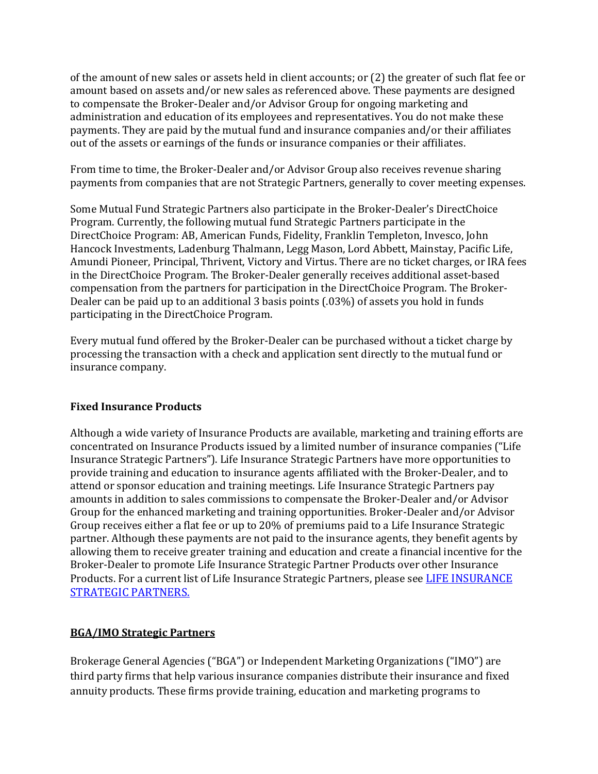of the amount of new sales or assets held in client accounts; or (2) the greater of such flat fee or amount based on assets and/or new sales as referenced above. These payments are designed to compensate the Broker-Dealer and/or Advisor Group for ongoing marketing and administration and education of its employees and representatives. You do not make these payments. They are paid by the mutual fund and insurance companies and/or their affiliates out of the assets or earnings of the funds or insurance companies or their affiliates.

From time to time, the Broker-Dealer and/or Advisor Group also receives revenue sharing payments from companies that are not Strategic Partners, generally to cover meeting expenses.

Some Mutual Fund Strategic Partners also participate in the Broker-Dealer's DirectChoice Program. Currently, the following mutual fund Strategic Partners participate in the DirectChoice Program: AB, American Funds, Fidelity, Franklin Templeton, Invesco, John Hancock Investments, Ladenburg Thalmann, Legg Mason, Lord Abbett, Mainstay, Pacific Life, Amundi Pioneer, Principal, Thrivent, Victory and Virtus. There are no ticket charges, or IRA fees in the DirectChoice Program. The Broker-Dealer generally receives additional asset-based compensation from the partners for participation in the DirectChoice Program. The Broker-Dealer can be paid up to an additional 3 basis points (.03%) of assets you hold in funds participating in the DirectChoice Program.

Every mutual fund offered by the Broker-Dealer can be purchased without a ticket charge by processing the transaction with a check and application sent directly to the mutual fund or insurance company.

## **Fixed Insurance Products**

Although a wide variety of Insurance Products are available, marketing and training efforts are concentrated on Insurance Products issued by a limited number of insurance companies ("Life Insurance Strategic Partners"). Life Insurance Strategic Partners have more opportunities to provide training and education to insurance agents affiliated with the Broker-Dealer, and to attend or sponsor education and training meetings. Life Insurance Strategic Partners pay amounts in addition to sales commissions to compensate the Broker-Dealer and/or Advisor Group for the enhanced marketing and training opportunities. Broker-Dealer and/or Advisor Group receives either a flat fee or up to 20% of premiums paid to a Life Insurance Strategic partner. Although these payments are not paid to the insurance agents, they benefit agents by allowing them to receive greater training and education and create a financial incentive for the Broker-Dealer to promote Life Insurance Strategic Partner Products over other Insurance Products. For a current list of Life Insurance Strategic Partners, please see [LIFE INSURANCE](https://ag-public.stage.bukwild.com/uploads/03/06/LTTR-List_of_Partners_Dec_2021__SAI.pdf)  [STRATEGIC PARTNERS.](https://ag-public.stage.bukwild.com/uploads/03/06/LTTR-List_of_Partners_Dec_2021__SAI.pdf)

## **BGA/IMO Strategic Partners**

Brokerage General Agencies ("BGA") or Independent Marketing Organizations ("IMO") are third party firms that help various insurance companies distribute their insurance and fixed annuity products. These firms provide training, education and marketing programs to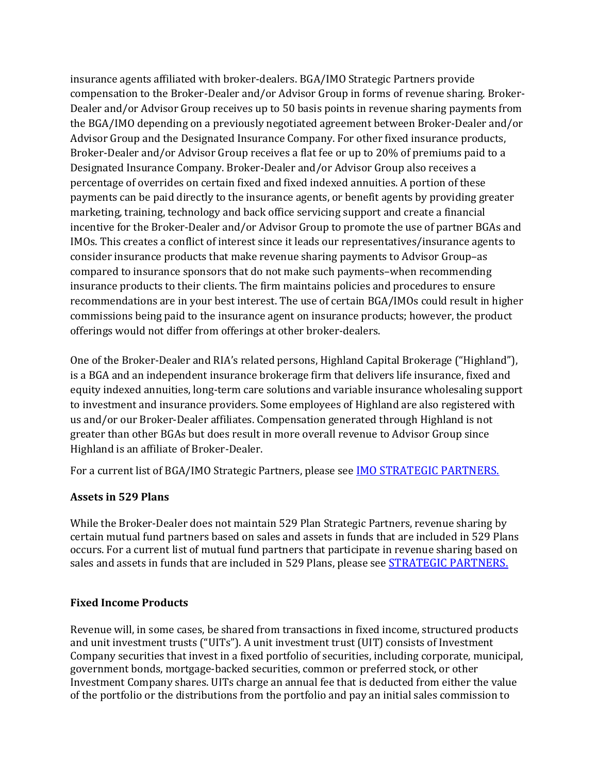insurance agents affiliated with broker-dealers. BGA/IMO Strategic Partners provide compensation to the Broker-Dealer and/or Advisor Group in forms of revenue sharing. Broker-Dealer and/or Advisor Group receives up to 50 basis points in revenue sharing payments from the BGA/IMO depending on a previously negotiated agreement between Broker-Dealer and/or Advisor Group and the Designated Insurance Company. For other fixed insurance products, Broker-Dealer and/or Advisor Group receives a flat fee or up to 20% of premiums paid to a Designated Insurance Company. Broker-Dealer and/or Advisor Group also receives a percentage of overrides on certain fixed and fixed indexed annuities. A portion of these payments can be paid directly to the insurance agents, or benefit agents by providing greater marketing, training, technology and back office servicing support and create a financial incentive for the Broker-Dealer and/or Advisor Group to promote the use of partner BGAs and IMOs. This creates a conflict of interest since it leads our representatives/insurance agents to consider insurance products that make revenue sharing payments to Advisor Group–as compared to insurance sponsors that do not make such payments–when recommending insurance products to their clients. The firm maintains policies and procedures to ensure recommendations are in your best interest. The use of certain BGA/IMOs could result in higher commissions being paid to the insurance agent on insurance products; however, the product offerings would not differ from offerings at other broker-dealers.

One of the Broker-Dealer and RIA's related persons, Highland Capital Brokerage ("Highland"), is a BGA and an independent insurance brokerage firm that delivers life insurance, fixed and equity indexed annuities, long-term care solutions and variable insurance wholesaling support to investment and insurance providers. Some employees of Highland are also registered with us and/or our Broker-Dealer affiliates. Compensation generated through Highland is not greater than other BGAs but does result in more overall revenue to Advisor Group since Highland is an affiliate of Broker-Dealer.

For a current list of BGA/IMO Strategic Partners, please see [IMO STRATEGIC PARTNERS.](https://ag-public.stage.bukwild.com/uploads/03/06/LTTR-List_of_Partners_Dec_2021__SAI.pdf)

#### **Assets in 529 Plans**

While the Broker-Dealer does not maintain 529 Plan Strategic Partners, revenue sharing by certain mutual fund partners based on sales and assets in funds that are included in 529 Plans occurs. For a current list of mutual fund partners that participate in revenue sharing based on sales and assets in funds that are included in 529 Plans, please see **STRATEGIC PARTNERS**.

#### **Fixed Income Products**

Revenue will, in some cases, be shared from transactions in fixed income, structured products and unit investment trusts ("UITs"). A unit investment trust (UIT) consists of Investment Company securities that invest in a fixed portfolio of securities, including corporate, municipal, government bonds, mortgage-backed securities, common or preferred stock, or other Investment Company shares. UITs charge an annual fee that is deducted from either the value of the portfolio or the distributions from the portfolio and pay an initial sales commission to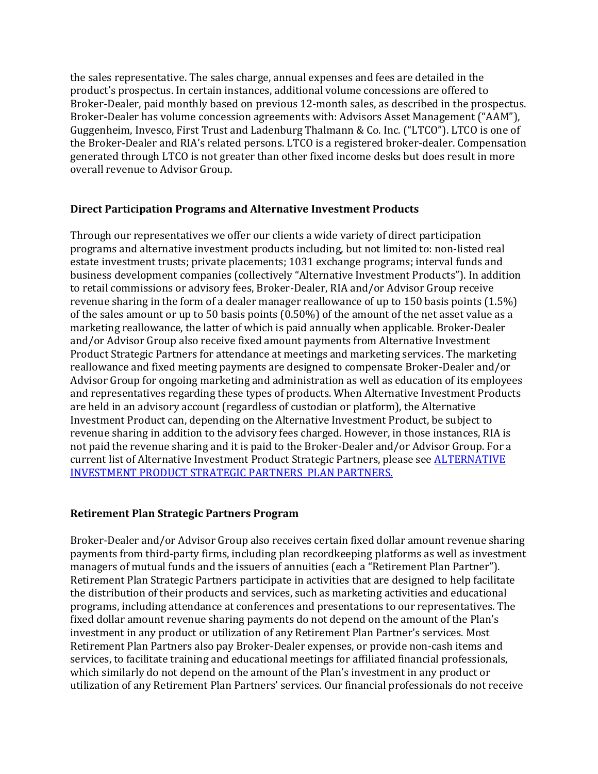the sales representative. The sales charge, annual expenses and fees are detailed in the product's prospectus. In certain instances, additional volume concessions are offered to Broker-Dealer, paid monthly based on previous 12-month sales, as described in the prospectus. Broker-Dealer has volume concession agreements with: Advisors Asset Management ("AAM"), Guggenheim, Invesco, First Trust and Ladenburg Thalmann & Co. Inc. ("LTCO"). LTCO is one of the Broker-Dealer and RIA's related persons. LTCO is a registered broker-dealer. Compensation generated through LTCO is not greater than other fixed income desks but does result in more overall revenue to Advisor Group.

#### **Direct Participation Programs and Alternative Investment Products**

Through our representatives we offer our clients a wide variety of direct participation programs and alternative investment products including, but not limited to: non-listed real estate investment trusts; private placements; 1031 exchange programs; interval funds and business development companies (collectively "Alternative Investment Products"). In addition to retail commissions or advisory fees, Broker-Dealer, RIA and/or Advisor Group receive revenue sharing in the form of a dealer manager reallowance of up to 150 basis points (1.5%) of the sales amount or up to 50 basis points (0.50%) of the amount of the net asset value as a marketing reallowance, the latter of which is paid annually when applicable. Broker-Dealer and/or Advisor Group also receive fixed amount payments from Alternative Investment Product Strategic Partners for attendance at meetings and marketing services. The marketing reallowance and fixed meeting payments are designed to compensate Broker-Dealer and/or Advisor Group for ongoing marketing and administration as well as education of its employees and representatives regarding these types of products. When Alternative Investment Products are held in an advisory account (regardless of custodian or platform), the Alternative Investment Product can, depending on the Alternative Investment Product, be subject to revenue sharing in addition to the advisory fees charged. However, in those instances, RIA is not paid the revenue sharing and it is paid to the Broker-Dealer and/or Advisor Group. For a current list of Alternative Investment Product Strategic Partners, please see **ALTERNATIVE** [INVESTMENT PRODUCT STRATEGIC PARTNERS PLAN PARTNERS.](https://ag-public.stage.bukwild.com/uploads/03/06/LTTR-List_of_Partners_Dec_2021__SAI.pdf)

## **Retirement Plan Strategic Partners Program**

Broker-Dealer and/or Advisor Group also receives certain fixed dollar amount revenue sharing payments from third-party firms, including plan recordkeeping platforms as well as investment managers of mutual funds and the issuers of annuities (each a "Retirement Plan Partner"). Retirement Plan Strategic Partners participate in activities that are designed to help facilitate the distribution of their products and services, such as marketing activities and educational programs, including attendance at conferences and presentations to our representatives. The fixed dollar amount revenue sharing payments do not depend on the amount of the Plan's investment in any product or utilization of any Retirement Plan Partner's services. Most Retirement Plan Partners also pay Broker-Dealer expenses, or provide non-cash items and services, to facilitate training and educational meetings for affiliated financial professionals, which similarly do not depend on the amount of the Plan's investment in any product or utilization of any Retirement Plan Partners' services. Our financial professionals do not receive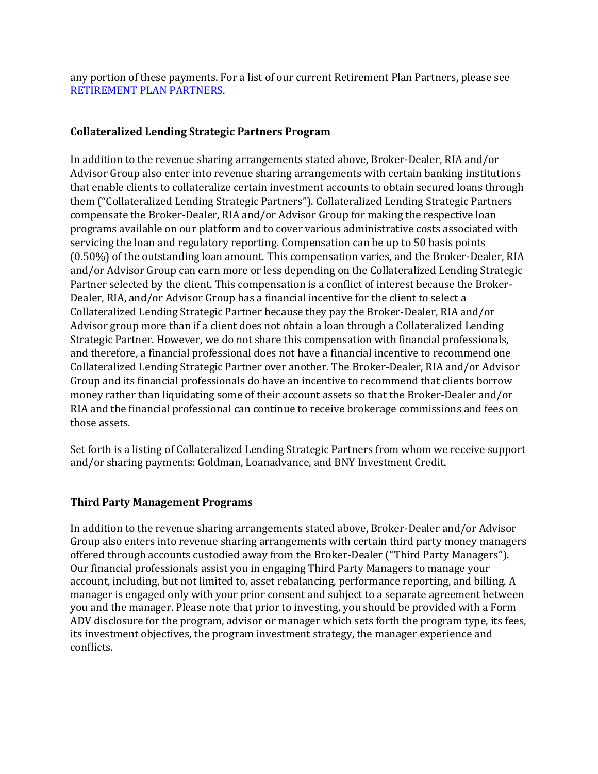any portion of these payments. For a list of our current Retirement Plan Partners, please see [RETIREMENT PLAN PARTNERS.](https://ag-public.stage.bukwild.com/uploads/03/06/LTTR-List_of_Partners_Dec_2021__SAI.pdf)

# **Collateralized Lending Strategic Partners Program**

In addition to the revenue sharing arrangements stated above, Broker-Dealer, RIA and/or Advisor Group also enter into revenue sharing arrangements with certain banking institutions that enable clients to collateralize certain investment accounts to obtain secured loans through them ("Collateralized Lending Strategic Partners"). Collateralized Lending Strategic Partners compensate the Broker-Dealer, RIA and/or Advisor Group for making the respective loan programs available on our platform and to cover various administrative costs associated with servicing the loan and regulatory reporting. Compensation can be up to 50 basis points (0.50%) of the outstanding loan amount. This compensation varies, and the Broker-Dealer, RIA and/or Advisor Group can earn more or less depending on the Collateralized Lending Strategic Partner selected by the client. This compensation is a conflict of interest because the Broker-Dealer, RIA, and/or Advisor Group has a financial incentive for the client to select a Collateralized Lending Strategic Partner because they pay the Broker-Dealer, RIA and/or Advisor group more than if a client does not obtain a loan through a Collateralized Lending Strategic Partner. However, we do not share this compensation with financial professionals, and therefore, a financial professional does not have a financial incentive to recommend one Collateralized Lending Strategic Partner over another. The Broker-Dealer, RIA and/or Advisor Group and its financial professionals do have an incentive to recommend that clients borrow money rather than liquidating some of their account assets so that the Broker-Dealer and/or RIA and the financial professional can continue to receive brokerage commissions and fees on those assets.

Set forth is a listing of Collateralized Lending Strategic Partners from whom we receive support and/or sharing payments: Goldman, Loanadvance, and BNY Investment Credit.

## **Third Party Management Programs**

In addition to the revenue sharing arrangements stated above, Broker-Dealer and/or Advisor Group also enters into revenue sharing arrangements with certain third party money managers offered through accounts custodied away from the Broker-Dealer ("Third Party Managers"). Our financial professionals assist you in engaging Third Party Managers to manage your account, including, but not limited to, asset rebalancing, performance reporting, and billing. A manager is engaged only with your prior consent and subject to a separate agreement between you and the manager. Please note that prior to investing, you should be provided with a Form ADV disclosure for the program, advisor or manager which sets forth the program type, its fees, its investment objectives, the program investment strategy, the manager experience and conflicts.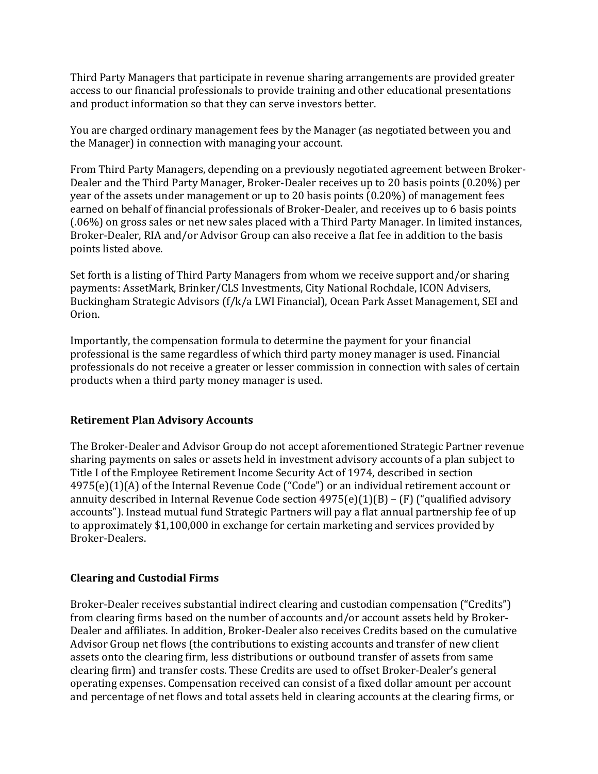Third Party Managers that participate in revenue sharing arrangements are provided greater access to our financial professionals to provide training and other educational presentations and product information so that they can serve investors better.

You are charged ordinary management fees by the Manager (as negotiated between you and the Manager) in connection with managing your account.

From Third Party Managers, depending on a previously negotiated agreement between Broker-Dealer and the Third Party Manager, Broker-Dealer receives up to 20 basis points (0.20%) per year of the assets under management or up to 20 basis points (0.20%) of management fees earned on behalf of financial professionals of Broker-Dealer, and receives up to 6 basis points (.06%) on gross sales or net new sales placed with a Third Party Manager. In limited instances, Broker-Dealer, RIA and/or Advisor Group can also receive a flat fee in addition to the basis points listed above.

Set forth is a listing of Third Party Managers from whom we receive support and/or sharing payments: AssetMark, Brinker/CLS Investments, City National Rochdale, ICON Advisers, Buckingham Strategic Advisors (f/k/a LWI Financial), Ocean Park Asset Management, SEI and Orion.

Importantly, the compensation formula to determine the payment for your financial professional is the same regardless of which third party money manager is used. Financial professionals do not receive a greater or lesser commission in connection with sales of certain products when a third party money manager is used.

#### **Retirement Plan Advisory Accounts**

The Broker-Dealer and Advisor Group do not accept aforementioned Strategic Partner revenue sharing payments on sales or assets held in investment advisory accounts of a plan subject to Title I of the Employee Retirement Income Security Act of 1974, described in section 4975(e)(1)(A) of the Internal Revenue Code ("Code") or an individual retirement account or annuity described in Internal Revenue Code section  $4975(e)(1)(B) - (F)$  ("qualified advisory accounts"). Instead mutual fund Strategic Partners will pay a flat annual partnership fee of up to approximately \$1,100,000 in exchange for certain marketing and services provided by Broker-Dealers.

#### **Clearing and Custodial Firms**

Broker-Dealer receives substantial indirect clearing and custodian compensation ("Credits") from clearing firms based on the number of accounts and/or account assets held by Broker-Dealer and affiliates. In addition, Broker-Dealer also receives Credits based on the cumulative Advisor Group net flows (the contributions to existing accounts and transfer of new client assets onto the clearing firm, less distributions or outbound transfer of assets from same clearing firm) and transfer costs. These Credits are used to offset Broker-Dealer's general operating expenses. Compensation received can consist of a fixed dollar amount per account and percentage of net flows and total assets held in clearing accounts at the clearing firms, or